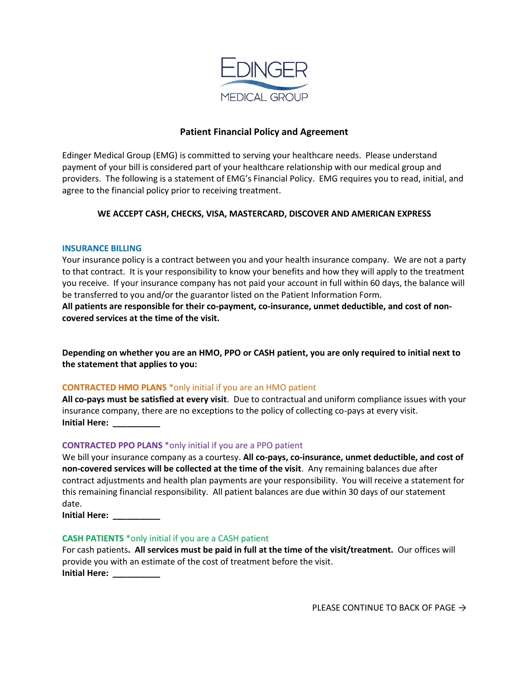

# **Patient Financial Policy and Agreement**

Edinger Medical Group (EMG) is committed to serving your healthcare needs. Please understand payment of your bill is considered part of your healthcare relationship with our medical group and providers. The following is a statement of EMG's Financial Policy. EMG requires you to read, initial, and agree to the financial policy prior to receiving treatment.

# **WE ACCEPT CASH, CHECKS, VISA, MASTERCARD, DISCOVER AND AMERICAN EXPRESS**

### **INSURANCE BILLING**

Your insurance policy is a contract between you and your health insurance company. We are not a party to that contract. It is your responsibility to know your benefits and how they will apply to the treatment you receive. If your insurance company has not paid your account in full within 60 days, the balance will be transferred to you and/or the guarantor listed on the Patient Information Form.

**All patients are responsible for their co-payment, co-insurance, unmet deductible, and cost of noncovered services at the time of the visit.**

**Depending on whether you are an HMO, PPO or CASH patient, you are only required to initial next to the statement that applies to you:**

## **CONTRACTED HMO PLANS** \*only initial if you are an HMO patient

**All co-pays must be satisfied at every visit**. Due to contractual and uniform compliance issues with your insurance company, there are no exceptions to the policy of collecting co-pays at every visit. **Initial Here: \_\_\_\_\_\_\_\_\_\_**

## **CONTRACTED PPO PLANS** \*only initial if you are a PPO patient

We bill your insurance company as a courtesy. **All co-pays, co-insurance, unmet deductible, and cost of non-covered services will be collected at the time of the visit**. Any remaining balances due after contract adjustments and health plan payments are your responsibility. You will receive a statement for this remaining financial responsibility. All patient balances are due within 30 days of our statement date.

**Initial Here: \_\_\_\_\_\_\_\_\_\_**

### **CASH PATIENTS** \*only initial if you are a CASH patient

For cash patients**. All services must be paid in full at the time of the visit/treatment.** Our offices will provide you with an estimate of the cost of treatment before the visit. **Initial Here: \_\_\_\_\_\_\_\_\_\_**

PLEASE CONTINUE TO BACK OF PAGE  $\rightarrow$